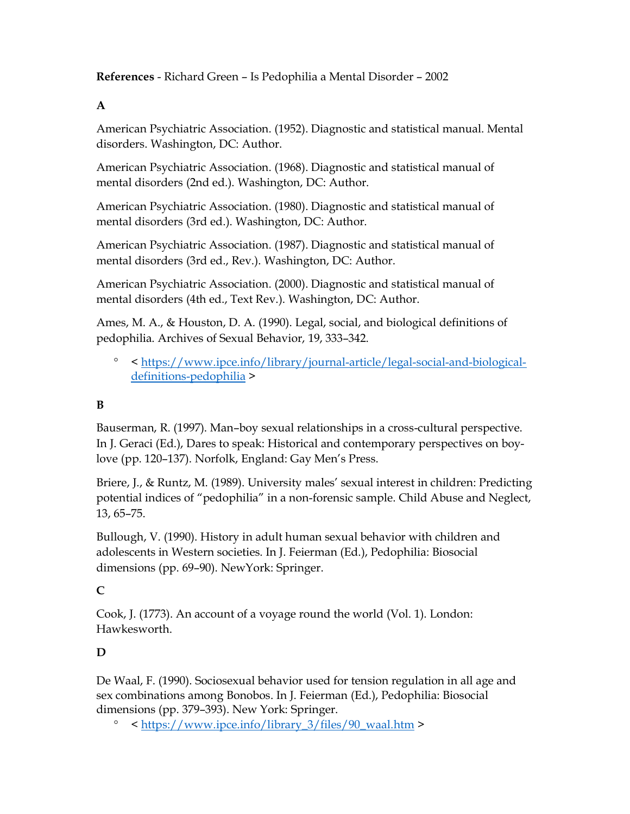References - Richard Green – Is Pedophilia a Mental Disorder – 2002

A

American Psychiatric Association. (1952). Diagnostic and statistical manual. Mental disorders. Washington, DC: Author.

American Psychiatric Association. (1968). Diagnostic and statistical manual of mental disorders (2nd ed.). Washington, DC: Author.

American Psychiatric Association. (1980). Diagnostic and statistical manual of mental disorders (3rd ed.). Washington, DC: Author.

American Psychiatric Association. (1987). Diagnostic and statistical manual of mental disorders (3rd ed., Rev.). Washington, DC: Author.

American Psychiatric Association. (2000). Diagnostic and statistical manual of mental disorders (4th ed., Text Rev.). Washington, DC: Author.

Ames, M. A., & Houston, D. A. (1990). Legal, social, and biological definitions of pedophilia. Archives of Sexual Behavior, 19, 333–342.

 < https://www.ipce.info/library/journal-article/legal-social-and-biologicaldefinitions-pedophilia >

# B

Bauserman, R. (1997). Man–boy sexual relationships in a cross-cultural perspective. In J. Geraci (Ed.), Dares to speak: Historical and contemporary perspectives on boylove (pp. 120–137). Norfolk, England: Gay Men's Press.

Briere, J., & Runtz, M. (1989). University males' sexual interest in children: Predicting potential indices of "pedophilia" in a non-forensic sample. Child Abuse and Neglect, 13, 65–75.

Bullough, V. (1990). History in adult human sexual behavior with children and adolescents in Western societies. In J. Feierman (Ed.), Pedophilia: Biosocial dimensions (pp. 69–90). NewYork: Springer.

# $\mathsf{C}$

Cook, J. (1773). An account of a voyage round the world (Vol. 1). London: Hawkesworth.

# D

De Waal, F. (1990). Sociosexual behavior used for tension regulation in all age and sex combinations among Bonobos. In J. Feierman (Ed.), Pedophilia: Biosocial dimensions (pp. 379–393). New York: Springer.

< https://www.ipce.info/library\_3/files/90\_waal.htm >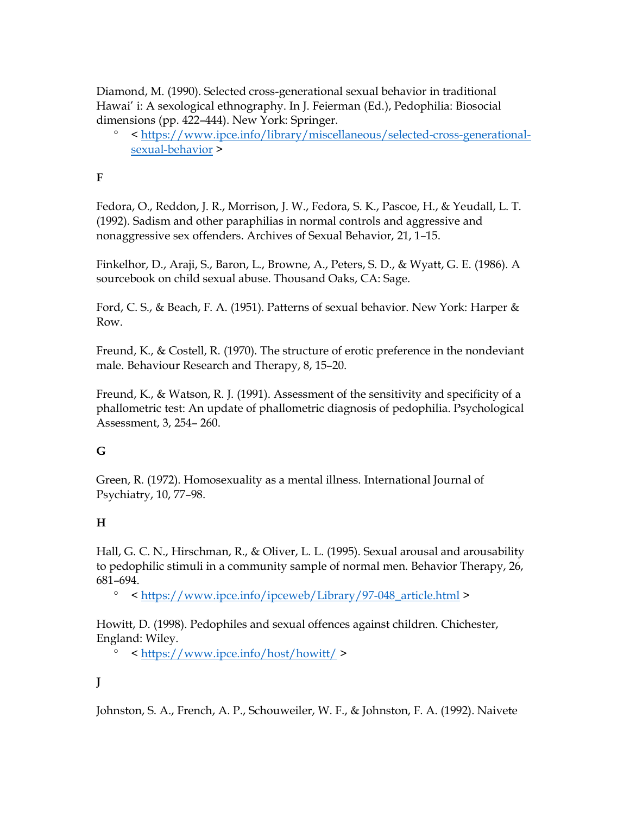Diamond, M. (1990). Selected cross-generational sexual behavior in traditional Hawai' i: A sexological ethnography. In J. Feierman (Ed.), Pedophilia: Biosocial dimensions (pp. 422–444). New York: Springer.

 < https://www.ipce.info/library/miscellaneous/selected-cross-generationalsexual-behavior >

## F

Fedora, O., Reddon, J. R., Morrison, J. W., Fedora, S. K., Pascoe, H., & Yeudall, L. T. (1992). Sadism and other paraphilias in normal controls and aggressive and nonaggressive sex offenders. Archives of Sexual Behavior, 21, 1–15.

Finkelhor, D., Araji, S., Baron, L., Browne, A., Peters, S. D., & Wyatt, G. E. (1986). A sourcebook on child sexual abuse. Thousand Oaks, CA: Sage.

Ford, C. S., & Beach, F. A. (1951). Patterns of sexual behavior. New York: Harper & Row.

Freund, K., & Costell, R. (1970). The structure of erotic preference in the nondeviant male. Behaviour Research and Therapy, 8, 15–20.

Freund, K., & Watson, R. J. (1991). Assessment of the sensitivity and specificity of a phallometric test: An update of phallometric diagnosis of pedophilia. Psychological Assessment, 3, 254– 260.

## G

Green, R. (1972). Homosexuality as a mental illness. International Journal of Psychiatry, 10, 77–98.

## H

Hall, G. C. N., Hirschman, R., & Oliver, L. L. (1995). Sexual arousal and arousability to pedophilic stimuli in a community sample of normal men. Behavior Therapy, 26, 681–694.

< https://www.ipce.info/ipceweb/Library/97-048\_article.html >

Howitt, D. (1998). Pedophiles and sexual offences against children. Chichester, England: Wiley.

< https://www.ipce.info/host/howitt/ >

# J

Johnston, S. A., French, A. P., Schouweiler, W. F., & Johnston, F. A. (1992). Naivete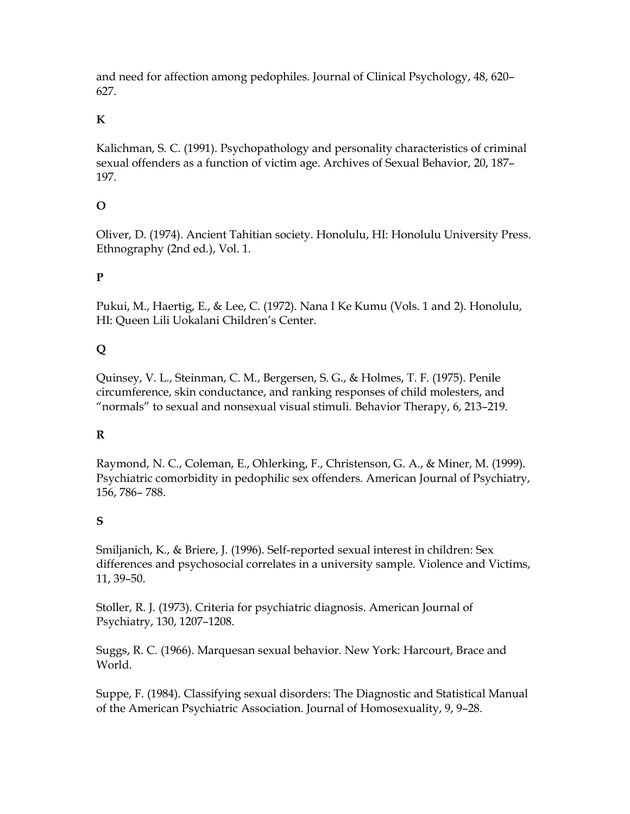and need for affection among pedophiles. Journal of Clinical Psychology, 48, 620– 627.

## K

Kalichman, S. C. (1991). Psychopathology and personality characteristics of criminal sexual offenders as a function of victim age. Archives of Sexual Behavior, 20, 187– 197.

# O

Oliver, D. (1974). Ancient Tahitian society. Honolulu, HI: Honolulu University Press. Ethnography (2nd ed.), Vol. 1.

# P

Pukui, M., Haertig, E., & Lee, C. (1972). Nana I Ke Kumu (Vols. 1 and 2). Honolulu, HI: Queen Lili Uokalani Children's Center.

# Q

Quinsey, V. L., Steinman, C. M., Bergersen, S. G., & Holmes, T. F. (1975). Penile circumference, skin conductance, and ranking responses of child molesters, and "normals" to sexual and nonsexual visual stimuli. Behavior Therapy, 6, 213–219.

## R

Raymond, N. C., Coleman, E., Ohlerking, F., Christenson, G. A., & Miner, M. (1999). Psychiatric comorbidity in pedophilic sex offenders. American Journal of Psychiatry, 156, 786– 788.

## S

Smiljanich, K., & Briere, J. (1996). Self-reported sexual interest in children: Sex differences and psychosocial correlates in a university sample. Violence and Victims, 11, 39–50.

Stoller, R. J. (1973). Criteria for psychiatric diagnosis. American Journal of Psychiatry, 130, 1207–1208.

Suggs, R. C. (1966). Marquesan sexual behavior. New York: Harcourt, Brace and World.

Suppe, F. (1984). Classifying sexual disorders: The Diagnostic and Statistical Manual of the American Psychiatric Association. Journal of Homosexuality, 9, 9–28.